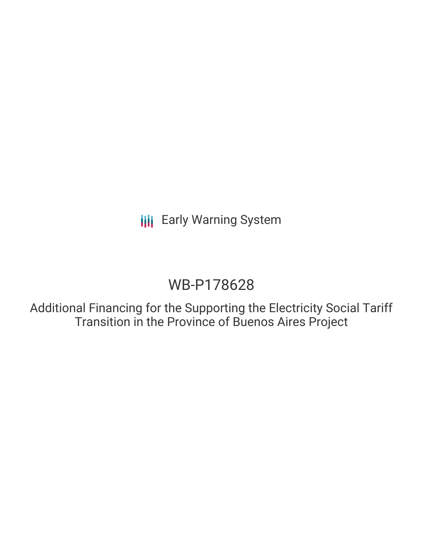**III** Early Warning System

## WB-P178628

Additional Financing for the Supporting the Electricity Social Tariff Transition in the Province of Buenos Aires Project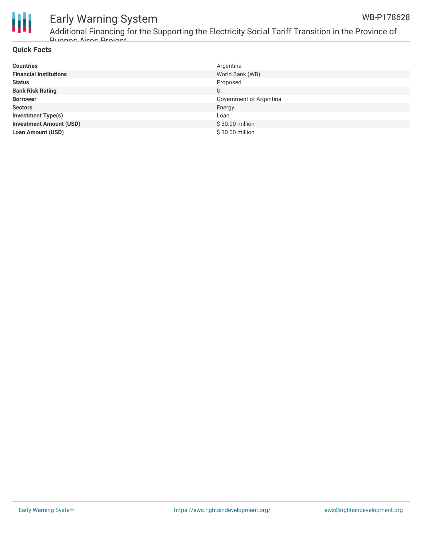



# Early Warning System

Additional Financing for the Supporting the Electricity Social Tariff Transition in the Province of Buenos Aires Project

#### **Quick Facts**

| <b>Countries</b>               | Argentina               |
|--------------------------------|-------------------------|
| <b>Financial Institutions</b>  | World Bank (WB)         |
| <b>Status</b>                  | Proposed                |
| <b>Bank Risk Rating</b>        | U                       |
| <b>Borrower</b>                | Government of Argentina |
| <b>Sectors</b>                 | Energy                  |
| <b>Investment Type(s)</b>      | Loan                    |
| <b>Investment Amount (USD)</b> | \$30.00 million         |
| <b>Loan Amount (USD)</b>       | \$30.00 million         |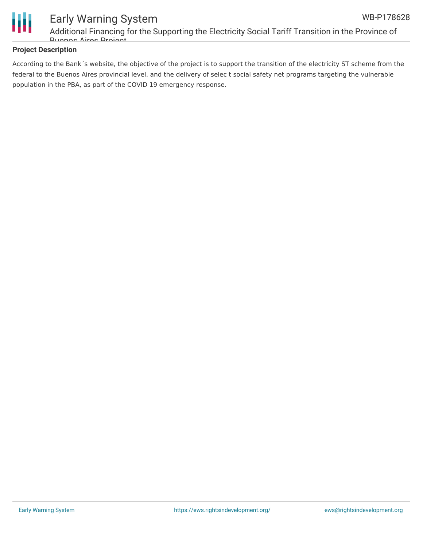

#### Early Warning System Additional Financing for the Supporting the Electricity Social Tariff Transition in the Province of Buenos Aires Project

#### **Project Description**

According to the Bank´s website, the objective of the project is to support the transition of the electricity ST scheme from the federal to the Buenos Aires provincial level, and the delivery of selec t social safety net programs targeting the vulnerable population in the PBA, as part of the COVID 19 emergency response.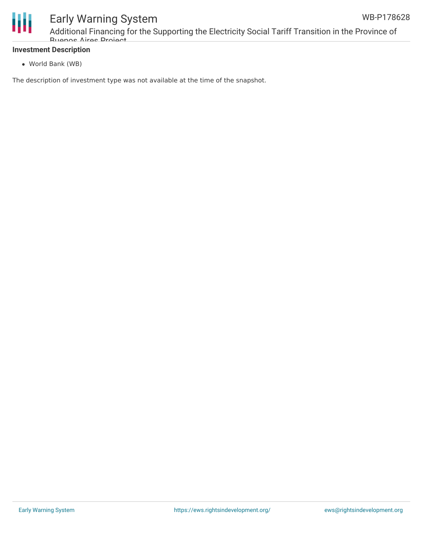

#### **Investment Description**

World Bank (WB)

The description of investment type was not available at the time of the snapshot.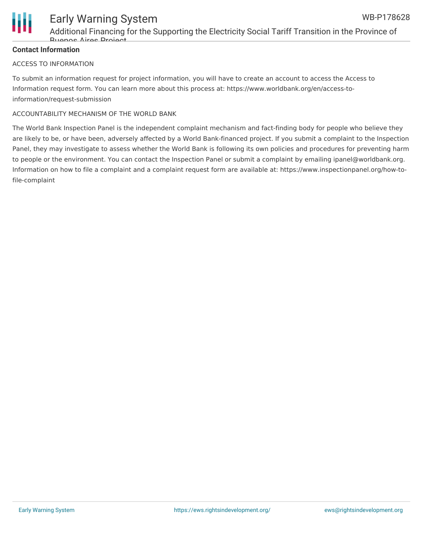

#### **Contact Information**

#### ACCESS TO INFORMATION

To submit an information request for project information, you will have to create an account to access the Access to Information request form. You can learn more about this process at: https://www.worldbank.org/en/access-toinformation/request-submission

#### ACCOUNTABILITY MECHANISM OF THE WORLD BANK

The World Bank Inspection Panel is the independent complaint mechanism and fact-finding body for people who believe they are likely to be, or have been, adversely affected by a World Bank-financed project. If you submit a complaint to the Inspection Panel, they may investigate to assess whether the World Bank is following its own policies and procedures for preventing harm to people or the environment. You can contact the Inspection Panel or submit a complaint by emailing ipanel@worldbank.org. Information on how to file a complaint and a complaint request form are available at: https://www.inspectionpanel.org/how-tofile-complaint